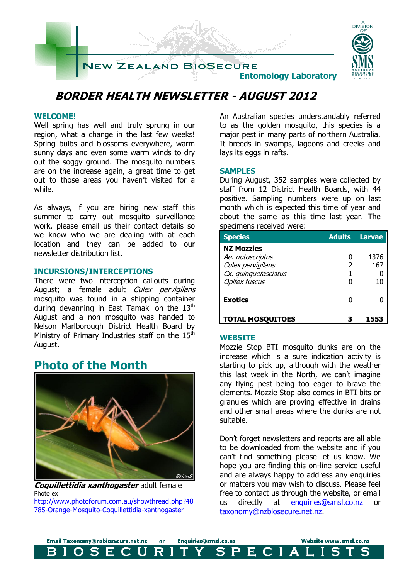

# **BORDER HEALTH NEWSLETTER - AUGUST 2012**

## **WELCOME!**

Well spring has well and truly sprung in our region, what a change in the last few weeks! Spring bulbs and blossoms everywhere, warm sunny days and even some warm winds to dry out the soggy ground. The mosquito numbers are on the increase again, a great time to get out to those areas you haven't visited for a while.

As always, if you are hiring new staff this summer to carry out mosquito surveillance work, please email us their contact details so we know who we are dealing with at each location and they can be added to our newsletter distribution list.

### **INCURSIONS/INTERCEPTIONS**

There were two interception callouts during August; a female adult Culex pervigilans mosquito was found in a shipping container during devanning in East Tamaki on the  $13<sup>th</sup>$ August and a non mosquito was handed to Nelson Marlborough District Health Board by Ministry of Primary Industries staff on the  $15<sup>th</sup>$ August.

## **Photo of the Month**



**Coquillettidia xanthogaster** adult female Photo ex [http://www.photoforum.com.au/showthread.php?48](http://www.photoforum.com.au/showthread.php?48785-Orange-Mosquito-Coquillettidia-xanthogaster) [785-Orange-Mosquito-Coquillettidia-xanthogaster](http://www.photoforum.com.au/showthread.php?48785-Orange-Mosquito-Coquillettidia-xanthogaster)

An Australian species understandably referred to as the golden mosquito, this species is a major pest in many parts of northern Australia. It breeds in swamps, lagoons and creeks and lays its eggs in rafts.

## **SAMPLES**

During August, 352 samples were collected by staff from 12 District Health Boards, with 44 positive. Sampling numbers were up on last month which is expected this time of year and about the same as this time last year. The specimens received were:

| <b>Species</b>                            | <b>Adults</b> | <b>Larvae</b> |
|-------------------------------------------|---------------|---------------|
| <b>NZ Mozzies</b>                         |               |               |
| Ae. notoscriptus                          |               | 1376          |
| Culex pervigilans<br>Cx. quinquefasciatus | 2             | 167           |
| <b>Opifex fuscus</b>                      |               | 10            |
| <b>Exotics</b>                            |               |               |
| <b>TOTAL MOSQUITOES</b>                   |               |               |

### **WEBSITE**

Mozzie Stop BTI mosquito dunks are on the increase which is a sure indication activity is starting to pick up, although with the weather this last week in the North, we can't imagine any flying pest being too eager to brave the elements. Mozzie Stop also comes in BTI bits or granules which are proving effective in drains and other small areas where the dunks are not suitable.

Don't forget newsletters and reports are all able to be downloaded from the website and if you can't find something please let us know. We hope you are finding this on-line service useful and are always happy to address any enquiries or matters you may wish to discuss. Please feel free to contact us through the website, or email us directly at [enquiries@smsl.co.nz](mailto:enquiries@smsl.co.nz) or [taxonomy@nzbiosecure.net.nz.](mailto:taxonomy@nzbiosecure.net.nz)

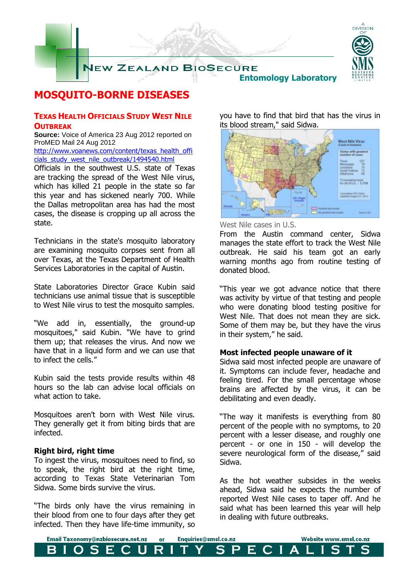

## **MOSQUITO-BORNE DISEASES**

## **TEXAS HEALTH OFFICIALS STUDY WEST NILE OUTBREAK**

**Source:** Voice of America 23 Aug 2012 reported on ProMED Mail 24 Aug 2012

[http://www.voanews.com/content/texas\\_health\\_offi](http://www.voanews.com/content/texas_health_officials_study_west_nile_outbreak/1494540.html) [cials\\_study\\_west\\_nile\\_outbreak/1494540.html](http://www.voanews.com/content/texas_health_officials_study_west_nile_outbreak/1494540.html)

Officials in the southwest U.S. state of Texas are tracking the spread of the West Nile virus, which has killed 21 people in the state so far this year and has sickened nearly 700. While the Dallas metropolitan area has had the most cases, the disease is cropping up all across the state.

Technicians in the state's mosquito laboratory are examining mosquito corpses sent from all over Texas, at the Texas Department of Health Services Laboratories in the capital of Austin.

State Laboratories Director Grace Kubin said technicians use animal tissue that is susceptible to West Nile virus to test the mosquito samples.

"We add in, essentially, the ground-up mosquitoes," said Kubin. "We have to grind them up; that releases the virus. And now we have that in a liquid form and we can use that to infect the cells."

Kubin said the tests provide results within 48 hours so the lab can advise local officials on what action to take.

Mosquitoes aren't born with West Nile virus. They generally get it from biting birds that are infected.

### **Right bird, right time**

To ingest the virus, mosquitoes need to find, so to speak, the right bird at the right time, according to Texas State Veterinarian Tom Sidwa. Some birds survive the virus.

"The birds only have the virus remaining in their blood from one to four days after they get infected. Then they have life-time immunity, so you have to find that bird that has the virus in its blood stream," said Sidwa.



West Nile cases in U.S.

From the Austin command center, Sidwa manages the state effort to track the West Nile outbreak. He said his team got an early warning months ago from routine testing of donated blood.

"This year we got advance notice that there was activity by virtue of that testing and people who were donating blood testing positive for West Nile. That does not mean they are sick. Some of them may be, but they have the virus in their system," he said.

### **Most infected people unaware of it**

Sidwa said most infected people are unaware of it. Symptoms can include fever, headache and feeling tired. For the small percentage whose brains are affected by the virus, it can be debilitating and even deadly.

"The way it manifests is everything from 80 percent of the people with no symptoms, to 20 percent with a lesser disease, and roughly one percent - or one in 150 - will develop the severe neurological form of the disease," said Sidwa.

As the hot weather subsides in the weeks ahead, Sidwa said he expects the number of reported West Nile cases to taper off. And he said what has been learned this year will help in dealing with future outbreaks.